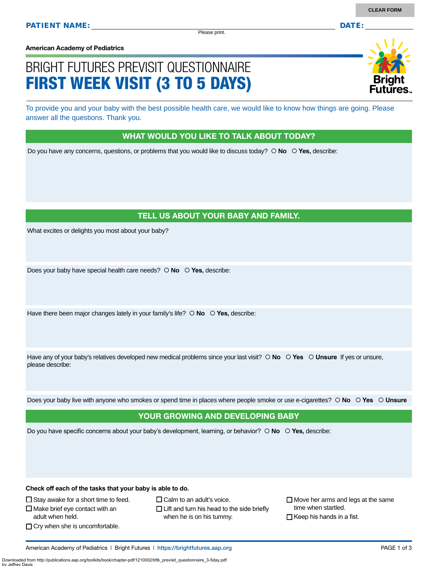Please print.

**American Academy of Pediatrics**

# BRIGHT FUTURES PREVISIT QUESTIONNAIRE FIRST WEEK VISIT (3 TO 5 DAYS)

To provide you and your baby with the best possible health care, we would like to know how things are going. Please answer all the questions. Thank you.

#### WHAT WOULD YOU LIKE TO TALK ABOUT TODAY?

Do you have any concerns, questions, or problems that you would like to discuss today?  $\circ$  **No**  $\circ$  **Yes**, describe:

### TELL US ABOUT YOUR BABY AND FAMILY.

What excites or delights you most about your baby?

Does your baby have special health care needs?  $\circ$  **No**  $\circ$  **Yes**, describe:

Have there been major changes lately in your family's life?  $\circ$  **No**  $\circ$  **Yes**, describe:

Have any of your baby's relatives developed new medical problems since your last visit?  $\circ$  **No**  $\circ$  **Yes**  $\circ$  **Unsure** If yes or unsure, please describe:

Does your baby live with anyone who smokes or spend time in places where people smoke or use e-cigarettes?  **No Yes Unsure**

#### YOUR GROWING AND DEVELOPING BABY

Do you have specific concerns about your baby's development, learning, or behavior?  **No Yes,** describe:

**Check off each of the tasks that your baby is able to do.**

 $\Box$  Stay awake for a short time to feed.

 $\square$  Make brief eye contact with an adult when held.

 $\Box$  Cry when she is uncomfortable.

 $\Box$  Calm to an adult's voice.

 $\Box$  Lift and turn his head to the side briefly when he is on his tummy.

 $\Box$  Move her arms and legs at the same time when startled.

 $\Box$  Keep his hands in a fist.

American Academy of Pediatrics | Bright Futures | https:/[/brightfutures.aap.org](https://brightfutures.aap.org/Pages/default.aspx) PAGE 1 of 3

Downloaded from http://publications.aap.org/toolkits/book/chapter-pdf/1210002/bftk\_previsit\_questionnaire\_3-5day.pdf by Jeffrey Davis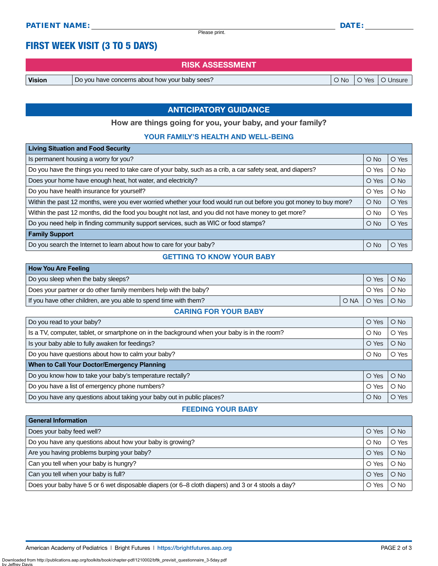Please print.

## FIRST WEEK VISIT (3 TO 5 DAYS)

RISK ASSESSMENT

**Vision**  $\vert$  Do you have concerns about how your baby sees?  $\vert$  O No  $\vert$  O Yes  $\vert$  O Unsure

### ANTICIPATORY GUIDANCE

How are things going for you, your baby, and your family?

#### YOUR FAMILY'S HEALTH AND WELL-BEING

| <b>Living Situation and Food Security</b>                                                                          |               |        |
|--------------------------------------------------------------------------------------------------------------------|---------------|--------|
| Is permanent housing a worry for you?                                                                              | $O$ No        | O Yes  |
| Do you have the things you need to take care of your baby, such as a crib, a car safety seat, and diapers?         | O Yes         | $O$ No |
| Does your home have enough heat, hot water, and electricity?                                                       | O Yes         | $O$ No |
| Do you have health insurance for yourself?                                                                         | O Yes         | $O$ No |
| Within the past 12 months, were you ever worried whether your food would run out before you got money to buy more? | $O$ No        | O Yes  |
| Within the past 12 months, did the food you bought not last, and you did not have money to get more?               | $\circ$ No    | O Yes  |
| Do you need help in finding community support services, such as WIC or food stamps?                                | $\bigcirc$ No | O Yes  |
| <b>Family Support</b>                                                                                              |               |        |
| Do you search the Internet to learn about how to care for your baby?                                               | $O$ No        | O Yes  |

#### GETTING TO KNOW YOUR BABY

| How You Are Feeling                                               |              |            |
|-------------------------------------------------------------------|--------------|------------|
| Do you sleep when the baby sleeps?                                | O Yes        | $O$ No     |
| Does your partner or do other family members help with the baby?  | O Yes        | $\circ$ No |
| If you have other children, are you able to spend time with them? | ONAIOYesIONo |            |

#### CARING FOR YOUR BABY

| Do you read to your baby?                                                                    | O Yes      | $O$ No |
|----------------------------------------------------------------------------------------------|------------|--------|
| Is a TV, computer, tablet, or smartphone on in the background when your baby is in the room? | $O$ No     | O Yes  |
| Is your baby able to fully awaken for feedings?                                              | O Yes      | $O$ No |
| Do you have questions about how to calm your baby?                                           | $\circ$ No | O Yes  |
| When to Call Your Doctor/Emergency Planning                                                  |            |        |
| Do you know how to take your baby's temperature rectally?                                    | O Yes      | $O$ No |
| Do you have a list of emergency phone numbers?                                               | O Yes      | $O$ No |
| Do you have any questions about taking your baby out in public places?                       | $O$ No     | O Yes  |

#### FEEDING YOUR BABY

| <b>General Information</b>                                                                        |        |               |
|---------------------------------------------------------------------------------------------------|--------|---------------|
| Does your baby feed well?                                                                         | O Yes  | $O$ No        |
| Do you have any questions about how your baby is growing?                                         | $O$ No | O Yes         |
| Are you having problems burping your baby?                                                        | O Yes  | $O$ No        |
| Can you tell when your baby is hungry?                                                            | O Yes  | $O$ No        |
| Can you tell when your baby is full?                                                              | O Yes  | $O$ No        |
| Does your baby have 5 or 6 wet disposable diapers (or 6–8 cloth diapers) and 3 or 4 stools a day? | O Yes  | $\bigcirc$ No |